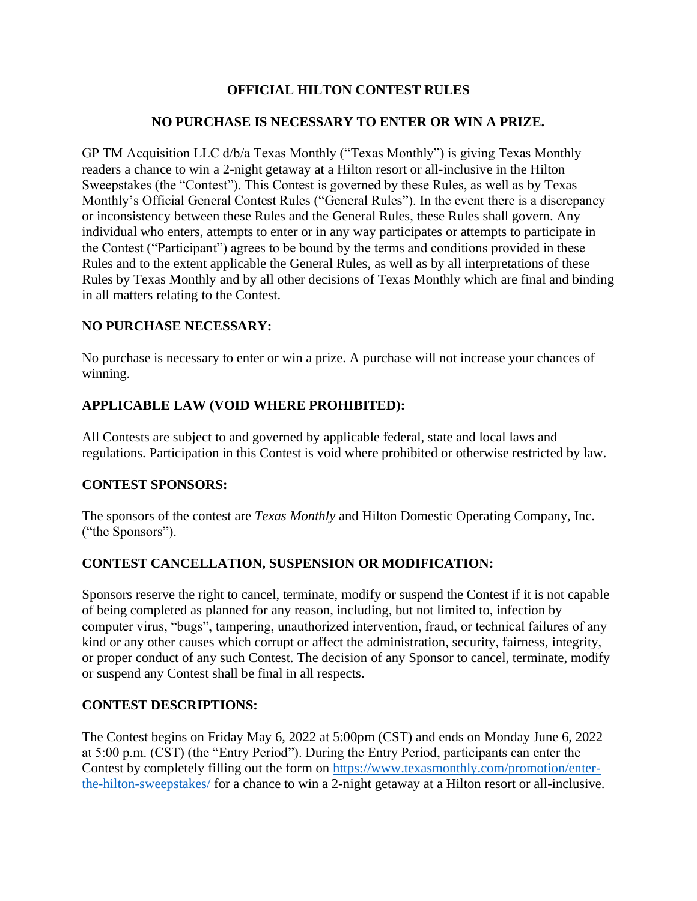# **OFFICIAL HILTON CONTEST RULES**

### **NO PURCHASE IS NECESSARY TO ENTER OR WIN A PRIZE.**

GP TM Acquisition LLC d/b/a Texas Monthly ("Texas Monthly") is giving Texas Monthly readers a chance to win a 2-night getaway at a Hilton resort or all-inclusive in the Hilton Sweepstakes (the "Contest"). This Contest is governed by these Rules, as well as by Texas Monthly's Official General Contest Rules ("General Rules"). In the event there is a discrepancy or inconsistency between these Rules and the General Rules, these Rules shall govern. Any individual who enters, attempts to enter or in any way participates or attempts to participate in the Contest ("Participant") agrees to be bound by the terms and conditions provided in these Rules and to the extent applicable the General Rules, as well as by all interpretations of these Rules by Texas Monthly and by all other decisions of Texas Monthly which are final and binding in all matters relating to the Contest.

#### **NO PURCHASE NECESSARY:**

No purchase is necessary to enter or win a prize. A purchase will not increase your chances of winning.

### **APPLICABLE LAW (VOID WHERE PROHIBITED):**

All Contests are subject to and governed by applicable federal, state and local laws and regulations. Participation in this Contest is void where prohibited or otherwise restricted by law.

### **CONTEST SPONSORS:**

The sponsors of the contest are *Texas Monthly* and Hilton Domestic Operating Company, Inc. ("the Sponsors").

### **CONTEST CANCELLATION, SUSPENSION OR MODIFICATION:**

Sponsors reserve the right to cancel, terminate, modify or suspend the Contest if it is not capable of being completed as planned for any reason, including, but not limited to, infection by computer virus, "bugs", tampering, unauthorized intervention, fraud, or technical failures of any kind or any other causes which corrupt or affect the administration, security, fairness, integrity, or proper conduct of any such Contest. The decision of any Sponsor to cancel, terminate, modify or suspend any Contest shall be final in all respects.

#### **CONTEST DESCRIPTIONS:**

The Contest begins on Friday May 6, 2022 at 5:00pm (CST) and ends on Monday June 6, 2022 at 5:00 p.m. (CST) (the "Entry Period"). During the Entry Period, participants can enter the Contest by completely filling out the form on [https://www.texasmonthly.com/promotion/enter](https://www.texasmonthly.com/promotion/enter-the-hilton-sweepstakes/)[the-hilton-sweepstakes/](https://www.texasmonthly.com/promotion/enter-the-hilton-sweepstakes/) for a chance to win a 2-night getaway at a Hilton resort or all-inclusive.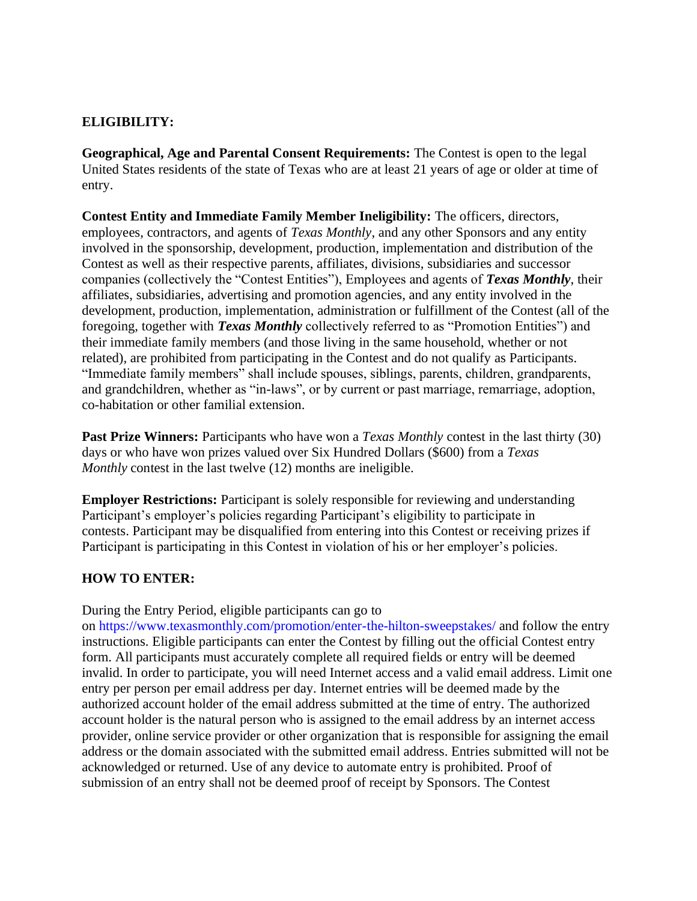## **ELIGIBILITY:**

**Geographical, Age and Parental Consent Requirements:** The Contest is open to the legal United States residents of the state of Texas who are at least 21 years of age or older at time of entry.

**Contest Entity and Immediate Family Member Ineligibility:** The officers, directors, employees, contractors, and agents of *Texas Monthly*, and any other Sponsors and any entity involved in the sponsorship, development, production, implementation and distribution of the Contest as well as their respective parents, affiliates, divisions, subsidiaries and successor companies (collectively the "Contest Entities"), Employees and agents of *Texas Monthly*, their affiliates, subsidiaries, advertising and promotion agencies, and any entity involved in the development, production, implementation, administration or fulfillment of the Contest (all of the foregoing, together with *Texas Monthly* collectively referred to as "Promotion Entities") and their immediate family members (and those living in the same household, whether or not related), are prohibited from participating in the Contest and do not qualify as Participants. "Immediate family members" shall include spouses, siblings, parents, children, grandparents, and grandchildren, whether as "in-laws", or by current or past marriage, remarriage, adoption, co-habitation or other familial extension.

**Past Prize Winners:** Participants who have won a *Texas Monthly* contest in the last thirty (30) days or who have won prizes valued over Six Hundred Dollars (\$600) from a *Texas Monthly* contest in the last twelve (12) months are ineligible.

**Employer Restrictions:** Participant is solely responsible for reviewing and understanding Participant's employer's policies regarding Participant's eligibility to participate in contests. Participant may be disqualified from entering into this Contest or receiving prizes if Participant is participating in this Contest in violation of his or her employer's policies.

### **HOW TO ENTER:**

During the Entry Period, eligible participants can go to

on https://www.texasmonthly.com/promotion/enter-the-hilton-sweepstakes/ and follow the entry instructions. Eligible participants can enter the Contest by filling out the official Contest entry form. All participants must accurately complete all required fields or entry will be deemed invalid. In order to participate, you will need Internet access and a valid email address. Limit one entry per person per email address per day. Internet entries will be deemed made by the authorized account holder of the email address submitted at the time of entry. The authorized account holder is the natural person who is assigned to the email address by an internet access provider, online service provider or other organization that is responsible for assigning the email address or the domain associated with the submitted email address. Entries submitted will not be acknowledged or returned. Use of any device to automate entry is prohibited. Proof of submission of an entry shall not be deemed proof of receipt by Sponsors. The Contest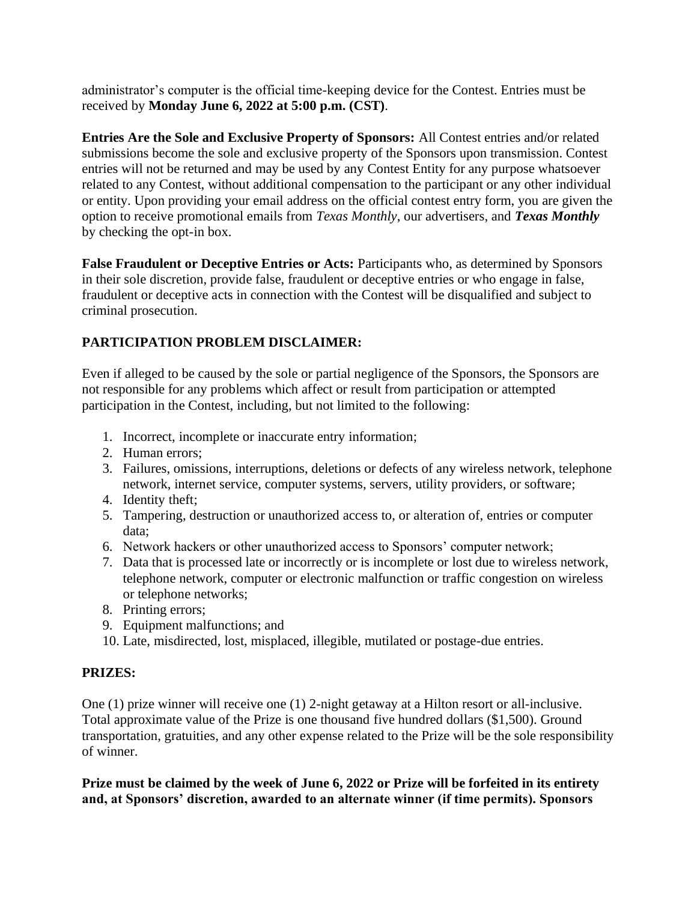administrator's computer is the official time-keeping device for the Contest. Entries must be received by **Monday June 6, 2022 at 5:00 p.m. (CST)**.

**Entries Are the Sole and Exclusive Property of Sponsors:** All Contest entries and/or related submissions become the sole and exclusive property of the Sponsors upon transmission. Contest entries will not be returned and may be used by any Contest Entity for any purpose whatsoever related to any Contest, without additional compensation to the participant or any other individual or entity. Upon providing your email address on the official contest entry form, you are given the option to receive promotional emails from *Texas Monthly*, our advertisers, and *Texas Monthly*  by checking the opt-in box.

**False Fraudulent or Deceptive Entries or Acts:** Participants who, as determined by Sponsors in their sole discretion, provide false, fraudulent or deceptive entries or who engage in false, fraudulent or deceptive acts in connection with the Contest will be disqualified and subject to criminal prosecution.

# **PARTICIPATION PROBLEM DISCLAIMER:**

Even if alleged to be caused by the sole or partial negligence of the Sponsors, the Sponsors are not responsible for any problems which affect or result from participation or attempted participation in the Contest, including, but not limited to the following:

- 1. Incorrect, incomplete or inaccurate entry information;
- 2. Human errors;
- 3. Failures, omissions, interruptions, deletions or defects of any wireless network, telephone network, internet service, computer systems, servers, utility providers, or software;
- 4. Identity theft;
- 5. Tampering, destruction or unauthorized access to, or alteration of, entries or computer data;
- 6. Network hackers or other unauthorized access to Sponsors' computer network;
- 7. Data that is processed late or incorrectly or is incomplete or lost due to wireless network, telephone network, computer or electronic malfunction or traffic congestion on wireless or telephone networks;
- 8. Printing errors;
- 9. Equipment malfunctions; and
- 10. Late, misdirected, lost, misplaced, illegible, mutilated or postage-due entries.

### **PRIZES:**

One (1) prize winner will receive one (1) 2-night getaway at a Hilton resort or all-inclusive. Total approximate value of the Prize is one thousand five hundred dollars (\$1,500). Ground transportation, gratuities, and any other expense related to the Prize will be the sole responsibility of winner.

#### **Prize must be claimed by the week of June 6, 2022 or Prize will be forfeited in its entirety and, at Sponsors' discretion, awarded to an alternate winner (if time permits). Sponsors**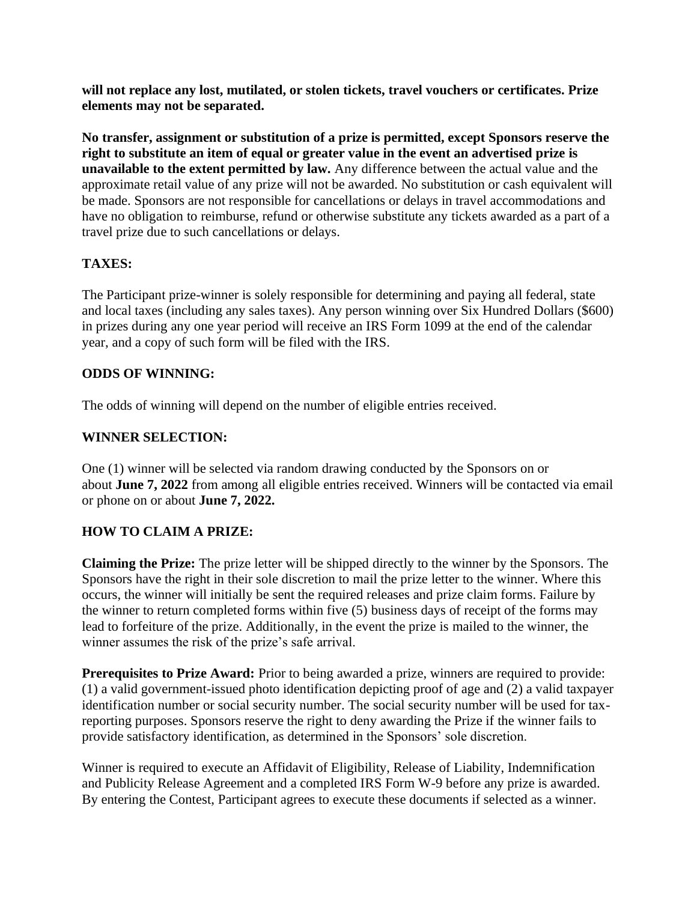**will not replace any lost, mutilated, or stolen tickets, travel vouchers or certificates. Prize elements may not be separated.** 

**No transfer, assignment or substitution of a prize is permitted, except Sponsors reserve the right to substitute an item of equal or greater value in the event an advertised prize is unavailable to the extent permitted by law.** Any difference between the actual value and the approximate retail value of any prize will not be awarded. No substitution or cash equivalent will be made. Sponsors are not responsible for cancellations or delays in travel accommodations and have no obligation to reimburse, refund or otherwise substitute any tickets awarded as a part of a travel prize due to such cancellations or delays.

## **TAXES:**

The Participant prize-winner is solely responsible for determining and paying all federal, state and local taxes (including any sales taxes). Any person winning over Six Hundred Dollars (\$600) in prizes during any one year period will receive an IRS Form 1099 at the end of the calendar year, and a copy of such form will be filed with the IRS.

### **ODDS OF WINNING:**

The odds of winning will depend on the number of eligible entries received.

### **WINNER SELECTION:**

One (1) winner will be selected via random drawing conducted by the Sponsors on or about **June 7, 2022** from among all eligible entries received. Winners will be contacted via email or phone on or about **June 7, 2022.** 

# **HOW TO CLAIM A PRIZE:**

**Claiming the Prize:** The prize letter will be shipped directly to the winner by the Sponsors. The Sponsors have the right in their sole discretion to mail the prize letter to the winner. Where this occurs, the winner will initially be sent the required releases and prize claim forms. Failure by the winner to return completed forms within five (5) business days of receipt of the forms may lead to forfeiture of the prize. Additionally, in the event the prize is mailed to the winner, the winner assumes the risk of the prize's safe arrival.

**Prerequisites to Prize Award:** Prior to being awarded a prize, winners are required to provide: (1) a valid government-issued photo identification depicting proof of age and (2) a valid taxpayer identification number or social security number. The social security number will be used for taxreporting purposes. Sponsors reserve the right to deny awarding the Prize if the winner fails to provide satisfactory identification, as determined in the Sponsors' sole discretion.

Winner is required to execute an Affidavit of Eligibility, Release of Liability, Indemnification and Publicity Release Agreement and a completed IRS Form W-9 before any prize is awarded. By entering the Contest, Participant agrees to execute these documents if selected as a winner.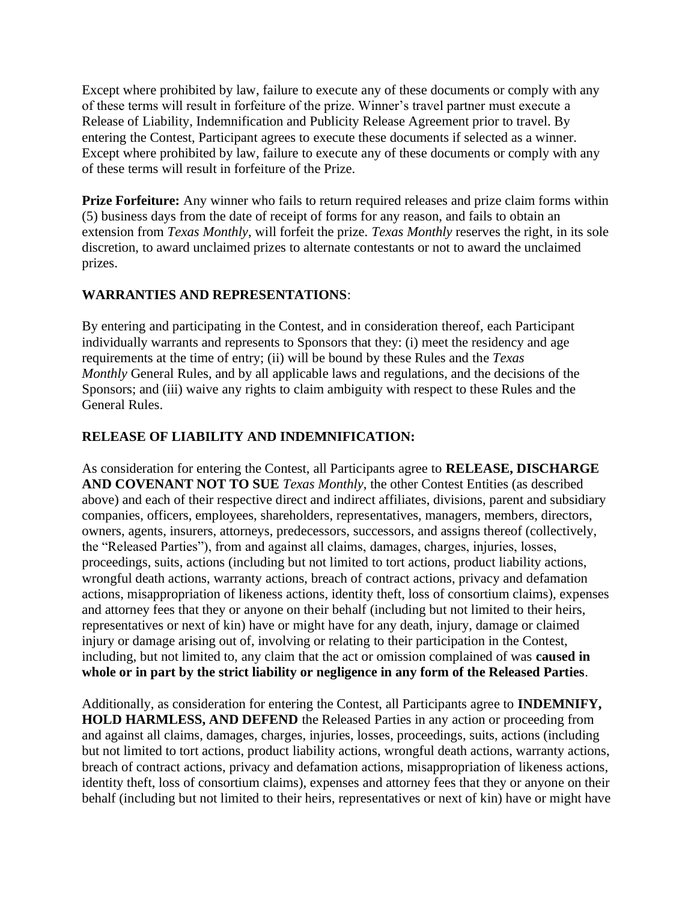Except where prohibited by law, failure to execute any of these documents or comply with any of these terms will result in forfeiture of the prize. Winner's travel partner must execute a Release of Liability, Indemnification and Publicity Release Agreement prior to travel. By entering the Contest, Participant agrees to execute these documents if selected as a winner. Except where prohibited by law, failure to execute any of these documents or comply with any of these terms will result in forfeiture of the Prize.

**Prize Forfeiture:** Any winner who fails to return required releases and prize claim forms within (5) business days from the date of receipt of forms for any reason, and fails to obtain an extension from *Texas Monthly*, will forfeit the prize. *Texas Monthly* reserves the right, in its sole discretion, to award unclaimed prizes to alternate contestants or not to award the unclaimed prizes.

# **WARRANTIES AND REPRESENTATIONS**:

By entering and participating in the Contest, and in consideration thereof, each Participant individually warrants and represents to Sponsors that they: (i) meet the residency and age requirements at the time of entry; (ii) will be bound by these Rules and the *Texas Monthly* General Rules, and by all applicable laws and regulations, and the decisions of the Sponsors; and (iii) waive any rights to claim ambiguity with respect to these Rules and the General Rules.

### **RELEASE OF LIABILITY AND INDEMNIFICATION:**

As consideration for entering the Contest, all Participants agree to **RELEASE, DISCHARGE AND COVENANT NOT TO SUE** *Texas Monthly*, the other Contest Entities (as described above) and each of their respective direct and indirect affiliates, divisions, parent and subsidiary companies, officers, employees, shareholders, representatives, managers, members, directors, owners, agents, insurers, attorneys, predecessors, successors, and assigns thereof (collectively, the "Released Parties"), from and against all claims, damages, charges, injuries, losses, proceedings, suits, actions (including but not limited to tort actions, product liability actions, wrongful death actions, warranty actions, breach of contract actions, privacy and defamation actions, misappropriation of likeness actions, identity theft, loss of consortium claims), expenses and attorney fees that they or anyone on their behalf (including but not limited to their heirs, representatives or next of kin) have or might have for any death, injury, damage or claimed injury or damage arising out of, involving or relating to their participation in the Contest, including, but not limited to, any claim that the act or omission complained of was **caused in whole or in part by the strict liability or negligence in any form of the Released Parties**.

Additionally, as consideration for entering the Contest, all Participants agree to **INDEMNIFY, HOLD HARMLESS, AND DEFEND** the Released Parties in any action or proceeding from and against all claims, damages, charges, injuries, losses, proceedings, suits, actions (including but not limited to tort actions, product liability actions, wrongful death actions, warranty actions, breach of contract actions, privacy and defamation actions, misappropriation of likeness actions, identity theft, loss of consortium claims), expenses and attorney fees that they or anyone on their behalf (including but not limited to their heirs, representatives or next of kin) have or might have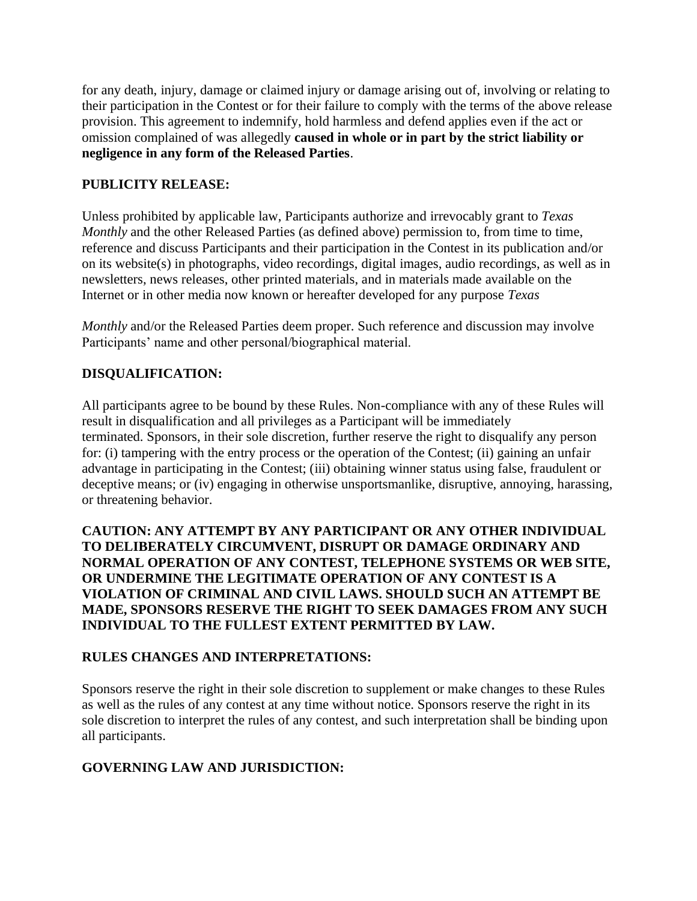for any death, injury, damage or claimed injury or damage arising out of, involving or relating to their participation in the Contest or for their failure to comply with the terms of the above release provision. This agreement to indemnify, hold harmless and defend applies even if the act or omission complained of was allegedly **caused in whole or in part by the strict liability or negligence in any form of the Released Parties**.

## **PUBLICITY RELEASE:**

Unless prohibited by applicable law, Participants authorize and irrevocably grant to *Texas Monthly* and the other Released Parties (as defined above) permission to, from time to time, reference and discuss Participants and their participation in the Contest in its publication and/or on its website(s) in photographs, video recordings, digital images, audio recordings, as well as in newsletters, news releases, other printed materials, and in materials made available on the Internet or in other media now known or hereafter developed for any purpose *Texas* 

*Monthly* and/or the Released Parties deem proper. Such reference and discussion may involve Participants' name and other personal/biographical material.

## **DISQUALIFICATION:**

All participants agree to be bound by these Rules. Non-compliance with any of these Rules will result in disqualification and all privileges as a Participant will be immediately terminated. Sponsors, in their sole discretion, further reserve the right to disqualify any person for: (i) tampering with the entry process or the operation of the Contest; (ii) gaining an unfair advantage in participating in the Contest; (iii) obtaining winner status using false, fraudulent or deceptive means; or (iv) engaging in otherwise unsportsmanlike, disruptive, annoying, harassing, or threatening behavior.

#### **CAUTION: ANY ATTEMPT BY ANY PARTICIPANT OR ANY OTHER INDIVIDUAL TO DELIBERATELY CIRCUMVENT, DISRUPT OR DAMAGE ORDINARY AND NORMAL OPERATION OF ANY CONTEST, TELEPHONE SYSTEMS OR WEB SITE, OR UNDERMINE THE LEGITIMATE OPERATION OF ANY CONTEST IS A VIOLATION OF CRIMINAL AND CIVIL LAWS. SHOULD SUCH AN ATTEMPT BE MADE, SPONSORS RESERVE THE RIGHT TO SEEK DAMAGES FROM ANY SUCH INDIVIDUAL TO THE FULLEST EXTENT PERMITTED BY LAW.**

### **RULES CHANGES AND INTERPRETATIONS:**

Sponsors reserve the right in their sole discretion to supplement or make changes to these Rules as well as the rules of any contest at any time without notice. Sponsors reserve the right in its sole discretion to interpret the rules of any contest, and such interpretation shall be binding upon all participants.

### **GOVERNING LAW AND JURISDICTION:**